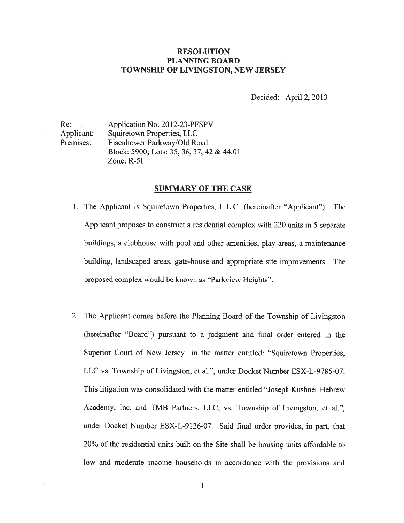## RESOLUTION PLANNING BOARD TOWNSHIP OF LIVINGSTON, NEW JERSEY

Decided: April 2, 2013

Re: Application No. 2012-23-PFSPV Applicant: Squiretown Properties, LLC Premises: Eisenhower Parkway/Old Road Block: 5900; Lots: 35, 36, 37, 42 & 44.01 Zone: R-51

#### SUMMARY OF THE CASE

- 1. The Applicant is Squiretown Properties, L.L.C. (hereinafter "Applicant"). The Applicant proposes to construct <sup>a</sup> residential complex with 220 units in 5 separate buildings, <sup>a</sup> clubhouse with pooi and other amenities, play areas, <sup>a</sup> maintenance building, landscaped areas, gate-house and appropriate site improvements. The proposed complex would be known as "Parkview Heights".
- 2. The Applicant comes before the Planning Board of the Township of Livingston (hereinafter "Board") pursuan<sup>t</sup> to <sup>a</sup> judgment and final order entered in the Superior Court of New Jersey in the matter entitled: "Squiretown Properties, LLC vs. Township of Livingston, et al.", under Docket Number ESX-L-9785-07. This litigation was consolidated with the matter entitled "Joseph Kushner Hebrew Academy, Inc. and TMB Partners, LLC, vs. Township of Livingston, et al.", under Docket Number ESX-L-9126-07. Said final order provides, in part, that 20% of the residential units built on the Site shall be housing units affordable to low and moderate income households in accordance with the provisions and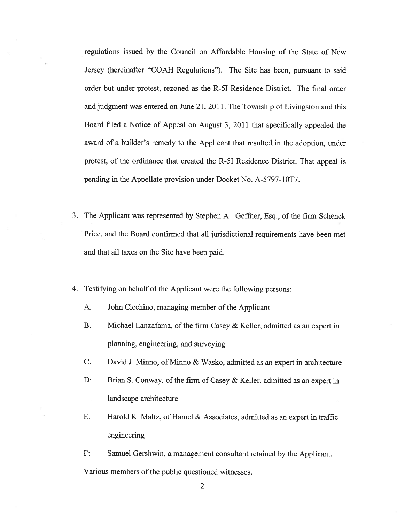regulations issued by the Council on Affordable Housing of the State of New Jersey (hereinafter "COAH Regulations"). The Site has been, pursuan<sup>t</sup> to said order but under protest, rezoned as the R-51 Residence District. The final order and judgment was entered on June 21, 2011. The Township of Livingston and this Board filed <sup>a</sup> Notice of Appeal on August 3, 2011 that specifically appealed the award of <sup>a</sup> builder's remedy to the Applicant that resulted in the adoption, under protest, of the ordinance that created the R-51 Residence District. That appeal is pending in the Appellate provision under Docket No. A-5797-10T7.

- 3. The Applicant was represented by Stephen A. Geffner, Esq., of the firm Schenck Price, and the Board confinned that all jurisdictional requirements have been met and that all taxes on the Site have been paid.
- 4. Testifying on behalf of the Applicant were the following persons:
	- A. John Cicchino, managing member of the Applicant
	- B. Michael Lanzafama, of the firm Casey & Keller, admitted as an exper<sup>t</sup> in planning, engineering, and surveying
	- C. David J. Minno, of Minno & Wasko, admitted as an exper<sup>t</sup> in architecture
	- D: Brian S. Conway, of the firm of Casey & Keller, admitted as an expert in landscape architecture
	- E: Harold K. Maltz, of Hamel & Associates. admitted as an exper<sup>t</sup> in traffic engineering
	- F: Samuel Gershwin, <sup>a</sup> managemen<sup>t</sup> consultant retained by the Applicant. Various members of the public questioned witnesses.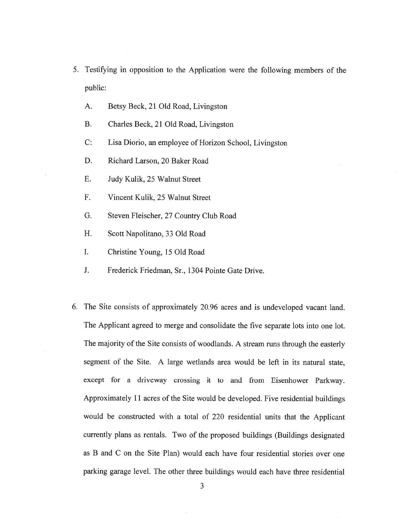- 5. Testifying in opposition to the Application were the following members of the public:
	- A. Betsy Beck, 21 Old Road, Livingston
	- B. Charles Beck, 21 Old Road, Livingston
	- C: Lisa Diorio. an employee of Horizon School, Livingston
	- D. Richard Larson. 20 Baker Road
	- E. Judy Kulik, 25 Walnut Street
	- F. Vincent Kulik, 25 Walnut Street
	- G. Steven Fleischer, 27 Country Club Road
	- H. Scott Napolitano, 33 Old Road
	- I. Christine Young, 15 Old Road
	- J. Frederick Friedman, Sr., 1304 Pointe Gate Drive.
- 6. The Site consists of approximately 20.96 acres and is undeveloped vacant land. The Applicant agreed to merge and consolidate the five separate lots into one lot. The majority of the Site consists of woodlands. <sup>A</sup> stream runs through the easterly segmen<sup>t</sup> of the Site. A large wetlands area would be left in its natural state, excep<sup>t</sup> for <sup>a</sup> driveway crossing it to and from Eisenhower Parkway. Approximately <sup>11</sup> acres of the Site would be developed. Five residential buildings would be constructed with <sup>a</sup> total of 220 residential units that the Applicant currently <sup>p</sup>lans as rentals. Two of the propose<sup>d</sup> buildings (Buildings designated as B and C on the Site Plan) would each have four residential stories over one parking garage level. The other three buildings would each have three residential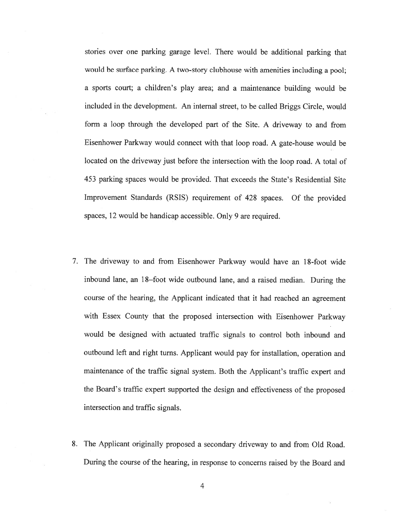stories over one parking garage level. There would be additional parking that would be surface parking. <sup>A</sup> two-story clubhouse with amenities including <sup>a</sup> pool; <sup>a</sup> sports court; <sup>a</sup> children's <sup>p</sup>lay area; and <sup>a</sup> maintenance building would be included in the development. An internal street, to be called Briggs Circle, would form <sup>a</sup> loop through the developed par<sup>t</sup> of the Site. A driveway to and from Eisenhower Parkway would connect with that loop road. <sup>A</sup> gate-house would be located on the driveway just before the intersection with the loop road. <sup>A</sup> total of 453 parking spaces would be provided. That exceeds the State's Residential Site Improvement Standards (RSIS) requirement of 428 spaces. Of the provided spaces, <sup>12</sup> would be handicap accessible. Only 9 are required.

- 7. The driveway to and from Eisenhower Parkway would have an 18-foot wide inbound lane, an 18–foot wide outbound lane, and a raised median. During the course of the hearing, the Applicant indicated that it had reached an agreemen<sup>t</sup> with Essex County that the propose<sup>d</sup> intersection with Eisenhower Parkway would be designed with actuated traffic signals to control both inbound and outbound left and right turns. Applicant would pay for installation, operation and maintenance of the traffic signal system. Both the Applicant's traffic exper<sup>t</sup> and the Board's traffic exper<sup>t</sup> supported the design and effectiveness of the propose<sup>d</sup> intersection and traffic signals.
- 8. The Applicant originally proposed <sup>a</sup> secondary driveway to and from Old Road. During the course of the hearing, in response to concerns raised by the Board and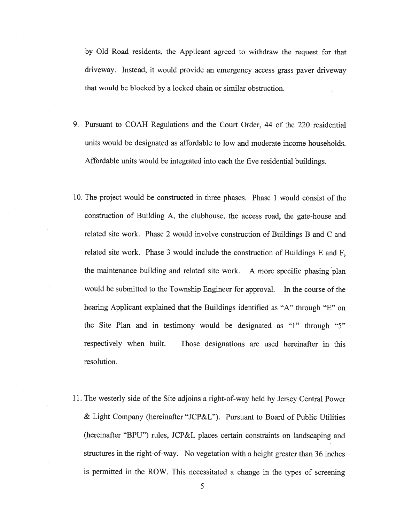by Old Road residents, the Applicant agreed to withdraw the reques<sup>t</sup> for that driveway. Instead, it would provide an emergency access grass paver driveway that would be blocked by <sup>a</sup> locked chain or similar obstruction.

- 9. Pursuant to COAH Regulations and the Court Order, 44 of the 220 residential units would be designated as affordable to low and moderate income households. Affordable units would be integrated into each the five residential buildings.
- 10. The project would be constructed in three phases. Phase 1 would consist of the construction of Building A, the clubhouse, the access road, the gate-house and related site work. Phase 2 would involve construction of Buildings <sup>B</sup> and C and related site work. Phase 3 would include the construction of Buildings <sup>E</sup> and F. the maintenance building and related site work. <sup>A</sup> more specific <sup>p</sup>hasing <sup>p</sup>lan would be submitted to the Township Engineer for approval. In the course of the hearing Applicant explained that the Buildings identified as "A" through "E" on the Site Plan and in testimony would be designated as "1" through "5" respectively when built. Those designations are used hereinafter in this resolution.
- 11. The westerly side of the Site adjoins <sup>a</sup> right-of-way held by Jersey Central Power & Light Company (hereinafter "JCP&L"). Pursuant to Board of Public Utilities (hereinafter "BPU") rules, JCP&L <sup>p</sup>laces certain constraints on landscaping and structures in the right-of-way. No vegetation with <sup>a</sup> height greater than 36 inches is permitted in the ROW. This necessitated <sup>a</sup> change in the types of screening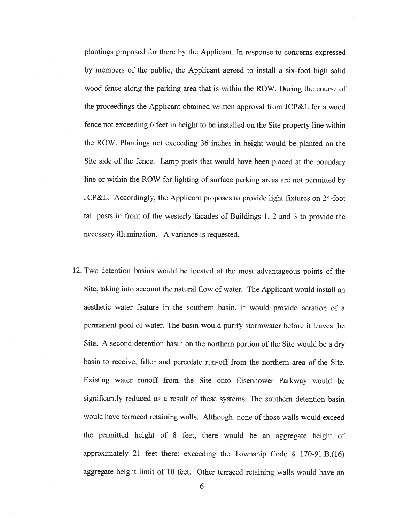<sup>p</sup>lantings propose<sup>d</sup> for there by the Applicant. In response to concerns expresse<sup>d</sup> by members of the public, the Applicant agree<sup>d</sup> to install <sup>a</sup> six-foot high solid wood fence along the parking area that is within the ROW. During the course of the proceedings the Applicant obtained written approval from JCP&L for <sup>a</sup> wood fence not exceeding <sup>6</sup> feet in height to be installed on the Site property line within the ROW. Plantings not exceeding <sup>36</sup> inches in height would be <sup>p</sup>lanted on the Site side of the fence. Lamp posts that would have been <sup>p</sup>laced at the boundary line or within the ROW for lighting of surface parking areas are not permitted by JCP&L. Accordingly, the Applicant proposes to provide light fixtures on 24-foot tall posts in front of the westerly facades of Buildings 1, <sup>2</sup> and 3 to provide the necessary illumination. A variance is requested.

12. Two detention basins would be located at the most advantageous points of the Site, taking into account the natural flow of water. The Applicant would install an aesthetic water feature in the southern basin. It would provide aeration of <sup>a</sup> permanen<sup>t</sup> pool of water. The basin would purify stormwater before it leaves the Site. <sup>A</sup> second detention basin on the northern portion of the Site would be <sup>a</sup> dry basin to receive, filter and percolate run-off from the northern area of the Site. Existing water runoff from the Site onto Eisenhower Parkway would be significantly reduced as <sup>a</sup> result of these systems. The southern detention basin would have terraced retaining walls. Although none of those walls would exceed the permitted height of <sup>8</sup> feet. there would be an aggregate height of approximately 21 feet there; exceeding the Township Code  $\S$  170-91.B.(16) aggregate height limit of 10 feet. Other terraced retaining walls would have an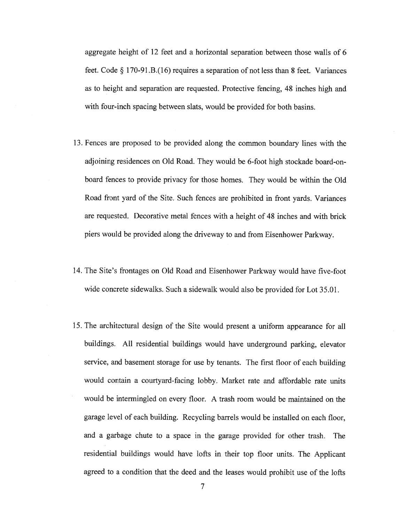aggregate height of 12 feet and <sup>a</sup> horizontal separation between those walls of 6 feet. Code § 170-91.B.(16) requires <sup>a</sup> separation of not less than <sup>8</sup> feet. Variances as to height and separation are requested. Protective fencing, 48 inches high and with four-inch spacing between slats, would be provided for both basins.

- 13. Fences are proposed to be provided along the common boundary lines with the adjoining residences on Old Road. They would be 6-foot high stockade board-onboard fences to provide privacy for those homes. They would be within the Old Road front yar<sup>d</sup> of the Site. Such fences are prohibited in front yards. Variances are requested. Decorative metal fences with <sup>a</sup> height of 48 inches and with brick <sup>p</sup>iers would be provided along the driveway to and from Eisenhower Parkway.
- 14. The Site's frontages on Old Road and Eisenhower Parkway would have five-foot wide concrete sidewalks. Such <sup>a</sup> sidewalk would also be provided for Lot 35.01.
- 15. The architectural design of the Site would presen<sup>t</sup> <sup>a</sup> uniform appearance for all buildings. All residential buildings would have underground parking, elevator service, and basement storage for use by tenants. The first floor of each building would contain <sup>a</sup> courtyard-facing lobby. Market rate and affordable rate units would be intermingled on every floor. A trash room would be maintained on the garage level of each building. Recycling barrels would be installed on each floor, and <sup>a</sup> garbage chute to <sup>a</sup> space in the garage provided for other trash. The residential buildings would have lofts in their top floor units. The Applicant agree<sup>d</sup> to <sup>a</sup> condition that the deed and the leases would prohibit use of the lofts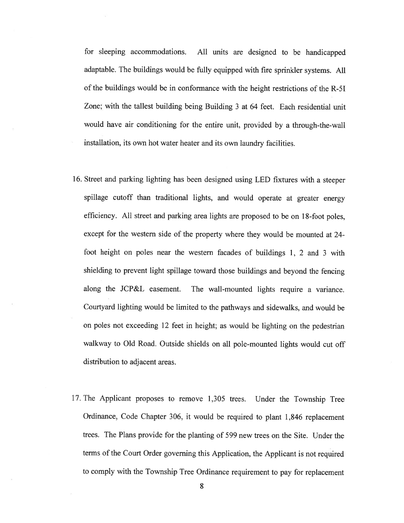for sleeping accommodations. All units are designed to be handicapped adaptable. The buildings would be fully equipped with fire sprinkler systems. All of the buildings would be in conformance with the height restrictions of the R-51 Zone; with the tallest building being Building 3 at 64 feet. Each residential unit would have air conditioning for the entire unit, provided by <sup>a</sup> through-the-wall installation, its own hot water heater and its own laundry facilities.

- 16. Street and parking lighting has been designed using LED fixtures with <sup>a</sup> steeper spillage cutoff than traditional lights, and would operate at greater energy efficiency. All street and parking area lights are propose<sup>d</sup> to be on 18-foot poles, excep<sup>t</sup> for the western side of the property where they would be mounted at 24 foot height on poles near the western facades of buildings 1, <sup>2</sup> and <sup>3</sup> with shielding to preven<sup>t</sup> light spillage toward those buildings and beyond the fencing along the JCP&L easement. The wall-mounted lights require <sup>a</sup> variance. Courtyard lighting would be limited to the pathways and sidewalks, and would be on poles not exceeding <sup>12</sup> feet in height; as would be lighting on the pedestrian walkway to Old Road. Outside shields on all pole-mounted lights would cut off distribution to adjacent areas.
- 17. The Applicant proposes to remove 1,305 trees. Under the Township Tree Ordinance, Code Chapter 306, it would be required to <sup>p</sup>lant 1,846 replacement trees. The Plans provide for the planting of 599 new trees on the Site. Under the terms of the Court Order governing this Application, the Applicant is not required to comply with the Township Tree Ordinance requirement to pay for replacement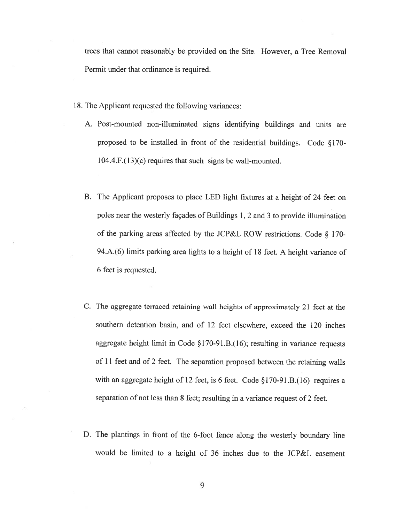trees that cannot reasonably be provided on the Site. However, <sup>a</sup> Tree Removal Permit under that ordinance is required.

- 18. The Applicant requested the following variances:
	- A. Post-mounted non-illuminated signs identifying buildings and units are propose<sup>d</sup> to be installed in front of the residential buildings. Code § 170- 104.4.F.(13)(c) requires that such signs be wall-mounted.
	- B. The Applicant proposes to <sup>p</sup>lace LED light fixtures at <sup>a</sup> height of <sup>24</sup> feet on poles near the westerly façades of Buildings 1, <sup>2</sup> and <sup>3</sup> to provide illumination of the parking areas affected by the JCP&L ROW restrictions. Code § 170- 94.A.(6) limits parking area lights to <sup>a</sup> height of 18 feet. <sup>A</sup> height variance of 6 feet is requested.
	- C. The aggregate terraced retaining wall heights of approximately <sup>21</sup> feet at the southern detention basin, and of 12 feet elsewhere, exceed the 120 inches aggregate height limit in Code § 170-91 .B.( 16); resulting in variance requests of <sup>11</sup> feet and of <sup>2</sup> feet. The separation propose<sup>d</sup> between the retaining walls with an aggregate height of 12 feet, is 6 feet. Code §170-91.B.(16) requires a separation of not less than 8 feet; resulting in <sup>a</sup> variance reques<sup>t</sup> of <sup>2</sup> feet.
	- D. The <sup>p</sup>lantings in front of the 6-foot fence along the westerly boundary line would be limited to <sup>a</sup> height of 36 inches due to the JCP&L easement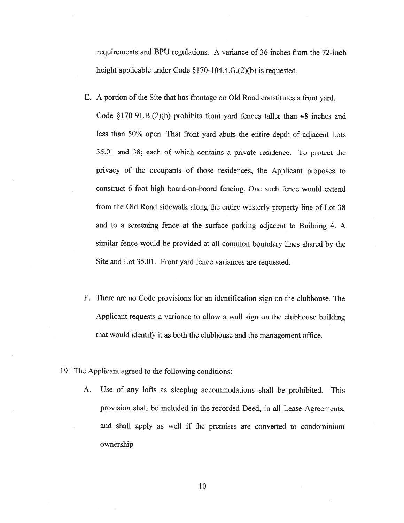requirements and BPU regulations. A variance of 36 inches from the 72-inch height applicable under Code §170-104.4.G.(2)(b) is requested.

- E. <sup>A</sup> portion of the Site that has frontage on Old Road constitutes <sup>a</sup> front yard. Code §170-91.B.(2)(b) prohibits front yard fences taller than 48 inches and less than 50% open. That front yar<sup>d</sup> abuts the entire depth of adjacent Lots 35.01 and 38; each of which contains <sup>a</sup> private residence. To protect the privacy of the occupants of those residences, the Applicant proposes to construct 6-foot high board-on-board fencing. One such fence would extend from the Old Road sidewalk along the entire westerly property line of Lot <sup>38</sup> and to <sup>a</sup> screening fence at the surface parking adjacent to Building 4. <sup>A</sup> similar fence would be provided at all common boundary lines shared by the Site and Lot 35.01. Front yar<sup>d</sup> fence variances are requested.
- F. There are no Code provisions for an identification sign on the clubhouse. The Applicant requests <sup>a</sup> variance to allow <sup>a</sup> wall sign on the clubhouse building that would identify it as both the clubhouse and the managemen<sup>t</sup> office.
- 19. The Applicant agreed to the following conditions:
	- A. Use of any lofts as sleeping accommodations shall be prohibited. This provision shall be included in the recorded Deed, in all Lease Agreements, and shall apply as well if the premises are converted to condominium ownership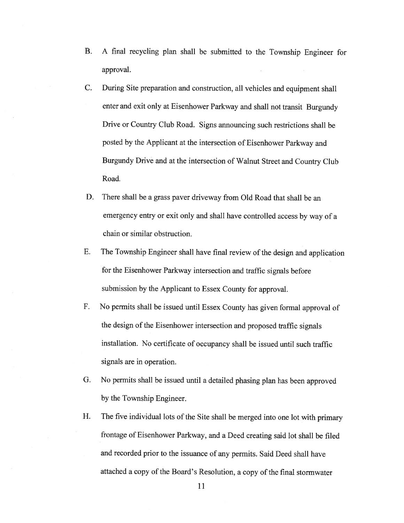- B. <sup>A</sup> final recycling <sup>p</sup>lan shall be submitted to the Township Engineer for approval.
- C. During Site preparation and construction, all vehicles and equipment shall enter and exit only at Eisenhower Parkway and shall not transit Burgundy Drive or Country Club Road. Signs announcing such restrictions shall be posted by the Applicant at the intersection of Eisenhower Parkway and Burgundy Drive and at the intersection of Walnut Street and Country Club Road.
- D. There shall be <sup>a</sup> grass paver driveway from Old Road that shall be an emergency entry or exit only and shall have controlled access by way of <sup>a</sup> chain or similar obstruction.
- E. The Township Engineer shall have final review of the design and application for the Eisenhower Parkway intersection and traffic signals before submission by the Applicant to Essex County for approval.
- F. No permits shall be issued until Essex County has <sup>g</sup>iven formal approval of the design of the Eisenhower intersection and proposed traffic signals installation. No certificate of occupancy shall be issued until such traffic signals are in operation.
- G. No permits shall be issued until <sup>a</sup> detailed <sup>p</sup>hasing <sup>p</sup>lan has been approved by the Township Engineer.
- H. The five individual lots of the Site shall be merged into one lot with primary frontage of Eisenhower Parkway, and <sup>a</sup> Deed creating said lot shall be filed and recorded prior to the issuance of any permits. Said Deed shall have attached a copy of the Board's Resolution, a copy of the final stormwater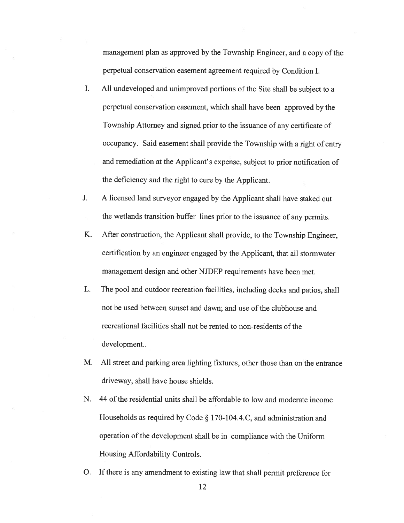managemen<sup>t</sup> <sup>p</sup>lan as approved by the Township Engineer, and <sup>a</sup> copy of the perpetual conservation easement agreemen<sup>t</sup> required by Condition I.

- I. All undeveloped and unimproved portions of the Site shall be subject to <sup>a</sup> perpetual conservation easement, which shall have been approve<sup>d</sup> by the Township Attorney and signed prior to the issuance of any certificate of occupancy. Said easement shall provide the Township with <sup>a</sup> right of entry and remediation at the Applicant's expense, subject to prior notification of the deficiency and the right to cure by the Applicant.
- J. <sup>A</sup> licensed land surveyor engaged by the Applicant shall have staked out the wetlands transition buffer lines prior to the issuance of any permits.
- K. After construction, the Applicant shall provide, to the Township Engineer, certification by an engineer engaged by the Applicant, that all stormwater managemen<sup>t</sup> design and other NJDEP requirements have been met.
- L. The poo<sup>i</sup> and outdoor recreation facilities, including decks and patios, shall not be used between sunset and dawn; and use of the clubhouse and recreational facilities shall not be rented to non-residents of the development..
- M. All street and parking area lighting fixtures. other those than on the entrance driveway, shall have house shields.
- N. 44 of the residential units shall be affordable to low and moderate income Households as required by Code § 170-104.4.C, and administration and operation of the development shall be in compliance with the Uniform Housing Affordability Controls.
- 0. If there is any amendment to existing law that shall permit preference for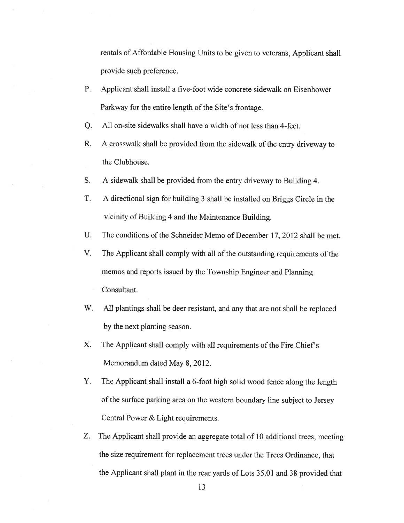rentals of Affordable Housing Units to be <sup>g</sup>iven to veterans, Applicant shall provide such preference.

- P. Applicant shall install <sup>a</sup> five-foot wide concrete sidewalk on Eisenhower Parkway for the entire length of the Site's frontage.
- Q. All on-site sidewalks shall have <sup>a</sup> width of not less than 4-feet.
- R. <sup>A</sup> crosswalk shall be provided from the sidewalk of the entry driveway to the Clubhouse.
- S. <sup>A</sup> sidewalk shall be provided from the entry driveway to Building 4.
- T. <sup>A</sup> directional sign for building 3 shall be installed on Briggs Circle in the vicinity of Building <sup>4</sup> and the Maintenance Building.
- U. The conditions of the Schneider Memo of December 17, 2012 shall be met.
- V. The Applicant shall comply with all of the outstanding requirements of the memos and reports issued by the Township Engineer and Planning Consultant.
- W. All <sup>p</sup>lantings shall be deer resistant, and any that are not shall be replaced by the next planting season.
- X. The Applicant shall comply with all requirements of the Fire Chief's Memorandum dated May 8, 2012.
- Y. The Applicant shall install <sup>a</sup> 6-foot high solid wood fence along the length of the surface parking area on the western boundary line subject to Jersey Central Power & Light requirements.
- Z. The Applicant shall provide an aggregate total of <sup>10</sup> additional trees, meeting the size requirement for replacement trees under the Trees Ordinance, that the Applicant shall <sup>p</sup>lant in the rear yards of Lots 35.01 and <sup>38</sup> provided that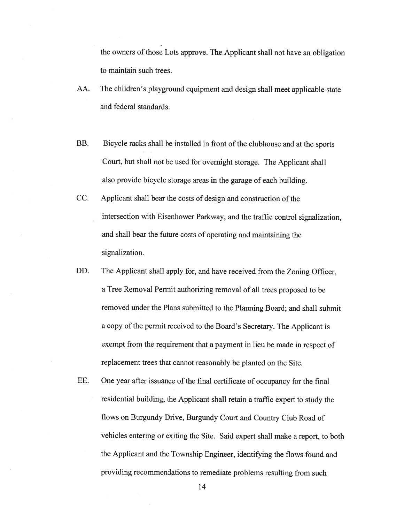the owners of those Lots approve. The Applicant shall not have an obligation to maintain such trees.

- AA. The children's <sup>p</sup>layground equipment and design shall meet applicable state and federal standards.
- BB. Bicycle racks shall be installed in front of the clubhouse and at the sports Court, but shall not be used for overnight storage. The Applicant shall also provide bicycle storage areas in the garage of each building.
- CC. Applicant shall bear the costs of design and construction of the intersection with Eisenhower Parkway, and the traffic control signalization, and shall bear the future costs of operating and maintaining the signalization.
- DD. The Applicant shall apply for, and have received from the Zoning Officer, <sup>a</sup> Tree Removal Permit authorizing removal of all trees proposed to be removed under the Plans submitted to the Planning Board; and shall submit a copy of the permit received to the Board's Secretary. The Applicant is exemp<sup>t</sup> from the requirement that <sup>a</sup> paymen<sup>t</sup> in lieu be made in respec<sup>t</sup> of replacement trees that cannot reasonably be <sup>p</sup>lanted on the Site.
- EE. One year after issuance of the final certificate of occupancy for the final residential building, the Applicant shall retain <sup>a</sup> traffic exper<sup>t</sup> to study the flows on Burgundy Drive, Burgundy Court and Country Club Road of vehicles entering or exiting the Site. Said exper<sup>t</sup> shall make <sup>a</sup> report, to both the Applicant and the Township Engineer, identifying the flows found and providing recommendations to remediate problems resulting from such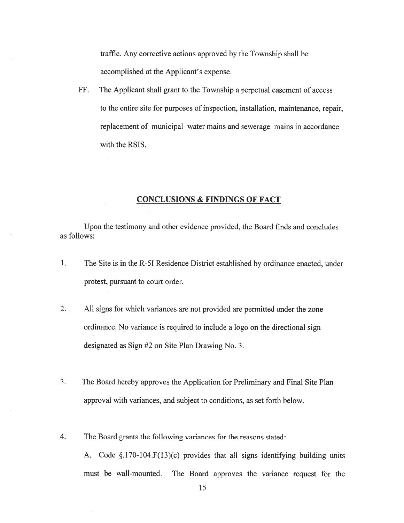traffic. Any corrective actions approved by the Township shall be accomplished at the Applicant's expense.

FF. The Applicant shall gran<sup>t</sup> to the Township <sup>a</sup> perpetual easement of access to the entire site for purposes of inspection, installation, maintenance, repair. replacement of municipal water mains and sewerage mains in accordance with the RSIS.

## CONCLUSIONS & FINDINGS OF FACT

Upon the testimony and other evidence provided, the Board finds and concludes as follows:

- $1.$ The Site is in the R-51 Residence District established by ordinance enacted, under protest, pursuan<sup>t</sup> to court order.
- 2. All signs for which variances are not provided are permitted under the zone ordinance. No variance is required to include <sup>a</sup> logo on the directional sign designated as Sign #2 on Site Plan Drawing No. 3.
- 3. The Board hereby approves the Application for Preliminary and Final Site Plan approval with variances, and subject to conditions, as set forth below.
- 4. The Board grants the following variances for the reasons stated:

A. Code §.170-104.F(13)(c) provides that all signs identifying building units must be wall-mounted. The Board approves the variance reques<sup>t</sup> for the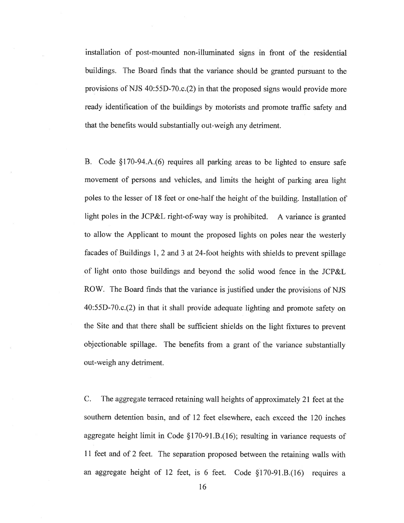installation of post-mounted non-illuminated signs in front of the residential buildings. The Board finds that the variance should be granted pursuan<sup>t</sup> to the provisions of NJS 40:55D-70.c.(2) in that the propose<sup>d</sup> signs would provide more ready identification of the buildings by motorists and promote traffic safety and that the benefits would substantially out-weigh any detriment.

B. Code §170-94.A.(6) requires all parking areas to be lighted to ensure safe movement of persons and vehicles, and limits the height of parking area light poles to the lesser of 18 feet or one-half the height of the building. Installation of light poles in the JCP&L right-of-way way is prohibited. <sup>A</sup> variance is granted to allow the Applicant to mount the proposed lights on poles near the westerly facades of Buildings 1, <sup>2</sup> and <sup>3</sup> at 24-foot heights with shields to preven<sup>t</sup> spillage of light onto those buildings and beyond the solid wood fence in the JCP&L ROW. The Board finds that the variance is justified under the provisions of NJS 40:55D-70.c.(2) in that it shall provide adequate lighting and promote safety on the Site and that there shall be sufficient shields on the light fixtures to preven<sup>t</sup> objectionable spillage. The benefits from <sup>a</sup> gran<sup>t</sup> of the variance substantially out-weigh any detriment.

C. The aggregate terraced retaining wall heights of approximately <sup>21</sup> feet at the southern detention basin, and of 12 feet elsewhere, each exceed the 120 inches aggregate height limit in Code § 170-91 .B.( 16); resulting in variance requests of <sup>11</sup> feet and of <sup>2</sup> feet. The separation propose<sup>d</sup> between the retaining walls with an aggregate height of 12 feet, is 6 feet. Code  $\S170-91.B.(16)$  requires a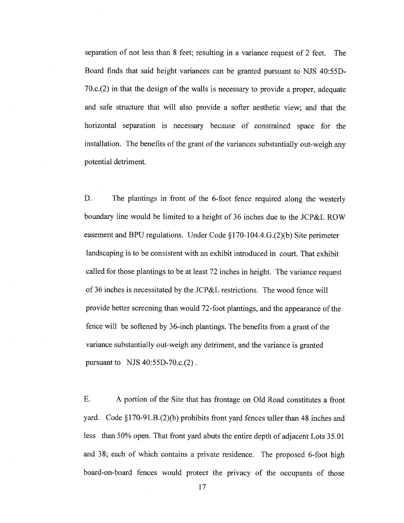separation of not less than 8 feet; resulting in <sup>a</sup> variance reques<sup>t</sup> of 2 feet. The Board finds that said height variances can be granted pursuan<sup>t</sup> to NJS 40:55D-70.c.(2) in that the design of the walls is necessary to provide <sup>a</sup> proper, adequate and safe structure that will also provide <sup>a</sup> softer aesthetic view; and that the horizontal separation is necessary because of constrained space for the installation. The benefits of the gran<sup>t</sup> of the variances substantially out-weigh any potential detriment.

D. The <sup>p</sup>lantings in front of the 6-foot fence required along the westerly boundary line would be limited to <sup>a</sup> height of 36 inches due to the JCP&L ROW easement and BPU regulations. Under Code  $\S 170-104.4$ .G.(2)(b) Site perimeter landscaping is to be consistent with an exhibit introduced in court. That exhibit called for those <sup>p</sup>lantings to be at least <sup>72</sup> inches in height. The variance reques<sup>t</sup> of 36 inches is necessitated by the JCP&L restrictions. The wood fence will provide better screening than would 72-foot <sup>p</sup>lantings, and the appearance of the fence will be softened by 36-inch plantings. The benefits from a grant of the variance substantially out-weigh any detriment, and the variance is granted pursuan<sup>t</sup> to NJS 40:55D-70.c.(2).

E. A portion of the Site that has frontage on Old Road constitutes <sup>a</sup> front yard. Code §170-91.B.(2)(b) prohibits front yard fences taller than 48 inches and less than 50% open. That front yar<sup>d</sup> abuts the entire depth of adjacent Lots 35.01 and 38; each of which contains <sup>a</sup> private residence. The propose<sup>d</sup> 6-foot high board-on-board fences would protect the privacy of the occupants of those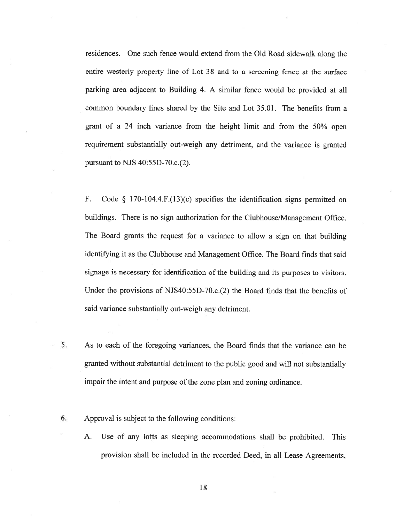residences. One such fence would extend from the Old Road sidewalk along the entire westerly' property line of Lot 38 and to <sup>a</sup> screening fence at the surface parking area adjacent to Building 4. A similar fence would be provided at all common boundary lines shared by the Site and Lot 35.01. The benefits from <sup>a</sup> gran<sup>t</sup> of <sup>a</sup> 24 inch variance from the height limit and from the 50% open requirement substantially out-weigh any detriment, and the variance is granted pursuan<sup>t</sup> to NJS 40:55D-70.c.(2).

F. Code § 170-104.4.F.(13)(c) specifies the identification signs permitted on buildings. There is no sign authorization for the Clubhouse/Management Office. The Board grants the reques<sup>t</sup> for <sup>a</sup> variance to allow <sup>a</sup> sign on that building identifying it as the Clubhouse and Management Office. The Board finds that said signage is necessary for identification of the building and its purposes to visitors. Under the provisions of NJS4O:55D-70.c.(2) the Board finds that the benefits of said variance substantially out-weigh any detriment.

- 5. As to each of the foregoing variances, the Board finds that the variance can be granted without substantial detriment to the public good and will not substantially impair the intent and purpose of the zone <sup>p</sup>lan and zoning ordinance.
- 6. Approval is subject to the following conditions:
	- A. Use of any lofts as sleeping accommodations shall be prohibited. This provision shall be included in the recorded Deed, in all Lease Agreements,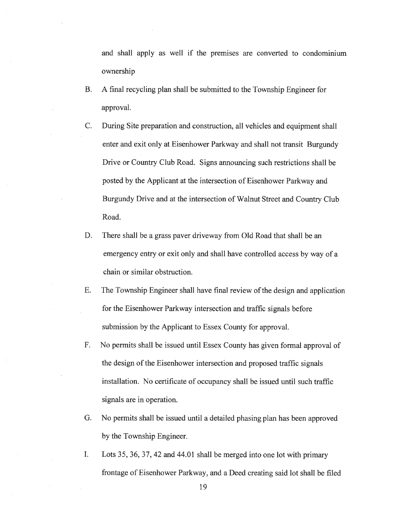and shall apply as well if the premises are converted to condominium ownership

- B. A final recycling plan shall be submitted to the Township Engineer for approval.
- C. During Site preparation and construction, all vehicles and equipment shall enter and exit only at Eisenhower Parkway and shall not transit Burgundy Drive or Country Club Road. Signs announcing such restrictions shall be posted by the Applicant at the intersection of Eisenhower Parkway and Burgundy Drive and at the intersection of Walnut Street and Country Club Road.
- D. There shall be <sup>a</sup> grass paver driveway from Old Road that shall be an emergency entry or exit only and shall have controlled access by way of <sup>a</sup> chain or similar obstruction.
- E. The Township Engineer shall have final review of the design and application for the Eisenhower Parkway intersection and traffic signals before submission by the Applicant to Essex County for approval.
- F. No permits shall be issued until Essex County has given formal approval of the design of the Eisenhower intersection and proposed traffic signals installation. No certificate of occupancy shall be issued until such traffic signals are in operation.
- G. No permits shall be issued until <sup>a</sup> detailed <sup>p</sup>hasing <sup>p</sup>lan has been approved by the Township Engineer.
- I. Lots 35, 36, 37, 42 and 44.01 shall be merged into one lot with primary frontage of Eisenhower Parkway, and <sup>a</sup> Deed creating said lot shall be filed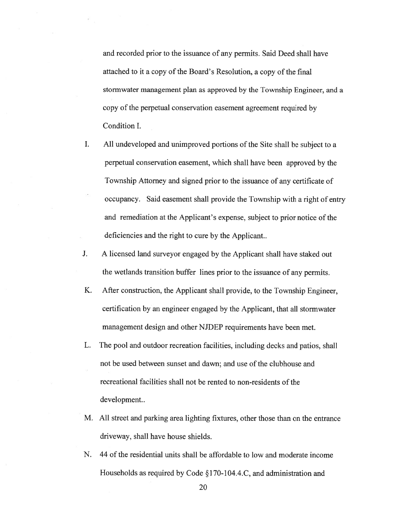and recorded prior to the issuance of any permits. Said Deed shall have attached to it <sup>a</sup> copy of the Board's Resolution, <sup>a</sup> copy of the final stormwater managemen<sup>t</sup> plan as approved by the Township Engineer, and <sup>a</sup> copy of the perpetual conservation easement agreemen<sup>t</sup> required by Condition I.

- **I.** All undeveloped and unimproved portions of the Site shall be subject to <sup>a</sup> perpetual conservation easement, which shall have been approved by the Township Attorney and signed prior to the issuance of any certificate of occupancy. Said easement shall provide the Township with <sup>a</sup> right of entry and remediation at the Applicant's expense, subject to prior notice of the deficiencies and the right to cure by the Applicant..
- J. A licensed land surveyor engaged by the Applicant shall have staked out the wetlands transition buffer lines prior to the issuance of any permits.
- K. After construction, the Applicant shall provide, to the Township Engineer, certification by an engineer engaged by the Applicant, that all stormwater managemen<sup>t</sup> design and other NJDEP requirements have been met.
- L. The pool and outdoor recreation facilities, including decks and patios, shall not be used between sunset and dawn; and use of the clubhouse and recreational facilities shall not be rented to non-residents of the development..
- M. All street and parking area lighting fixtures, other those than on the entrance driveway, shall have house shields.
- N. 44 of the residential units shall be affordable to low and moderate income Households as required by Code §170-104.4.C, and administration and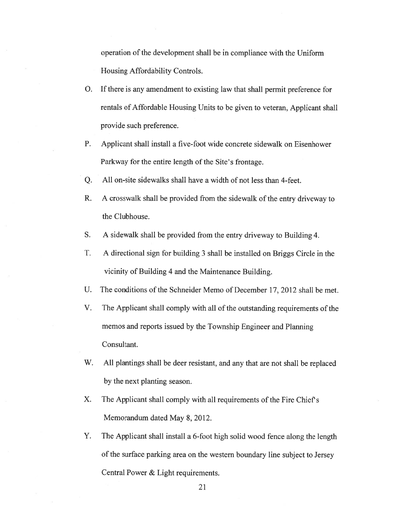operation of the development shall be in compliance with the Uniform Housing Affordability Controls.

- 0. If there is any amendment to existing law that shall permit preference for rentals of Affordable Housing Units to be given to veteran, Applicant shall provide such preference.
- P. Applicant shall install <sup>a</sup> five-foot wide concrete sidewalk on Eisenhower Parkway for the entire length of the Site's frontage.
- Q. All on-site sidewalks shall have <sup>a</sup> width of not less than 4-feet.
- R. <sup>A</sup> crosswalk shall be provided from the sidewalk of the entry driveway to the Clubhouse.
- S. A sidewalk shall be provided from the entry driveway to Building 4.
- T. A directional sign for building 3 shall be installed on Briggs Circle in the vicinity of Building <sup>4</sup> and the Maintenance Building.
- U. The conditions of the Schneider Memo of December 17, 2012 shall be met.
- V. The Applicant shall comply with all of the outstanding requirements of the memos and reports issued by the Township Engineer and Planning Consultant.
- W. All <sup>p</sup>lantings shall be deer resistant, and any that are not shall be replaced by the next planting season.
- X. The Applicant shall comply with all requirements of the Fire Chief's Memorandum dated May 8, 2012.
- Y. The Applicant shall install <sup>a</sup> 6-foot high solid wood fence along the length of the surface parking area on the western boundary line subject to Jersey Central Power & Light requirements.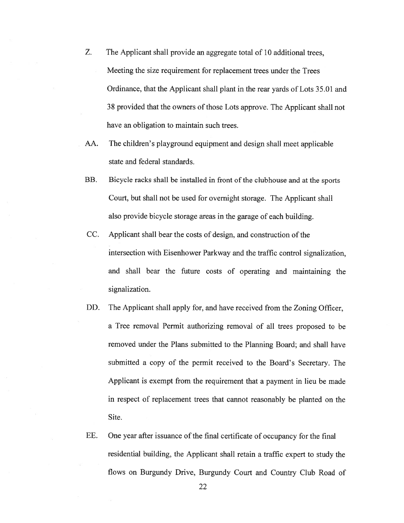- Z. The Applicant shall provide an aggregate total of 10 additional trees, Meeting the size requirement for replacement trees under the Trees Ordinance, that the Applicant shall plant in the rear yards of Lots 35.01 and 38 provided that the owners of those Lots approve. The Applicant shall not have an obligation to maintain such trees.
- AA. The children's <sup>p</sup>layground equipment and design shall meet applicable state and federal standards.
- BB. Bicycle racks shall be installed in front of the clubhouse and at the sports Court, but shall not be used for overnight storage. The Applicant shall also provide bicycle storage areas in the garage of each building.
- CC. Applicant shall bear the costs of design, and construction of the intersection with Eisenhower Parkway and the traffic control signalization. and shall bear the future costs of operating and maintaining the signalization.
- DD. The Applicant shall apply for, and have received from the Zoning Officer, <sup>a</sup> Tree removal Permit authorizing removal of all trees proposed to be removed under the Plans submitted to the Planning Board; and shall have submitted <sup>a</sup> copy of the permit received to the Board's Secretary. The Applicant is exemp<sup>t</sup> from the requirement that <sup>a</sup> paymen<sup>t</sup> in lieu be made in respec<sup>t</sup> of replacement trees that cannot reasonably be <sup>p</sup>lanted on the Site.
- EE. One year after issuance of the final certificate of occupancy for the final residential building, the Applicant shall retain <sup>a</sup> traffic exper<sup>t</sup> to study the flows on Burgundy Drive, Burgundy Court and Country Club Road of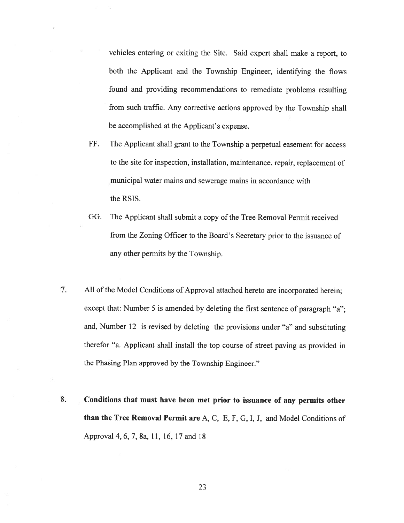vehicles entering or exiting the Site. Said exper<sup>t</sup> shall make <sup>a</sup> report, to both the Applicant and the Township Engineer, identifying the flows found and providing recommendations to remediate problems resulting from such traffic. Any corrective actions approve<sup>d</sup> by the Township shall be accomplished at the Applicant's expense.

- FF. The Applicant shall gran<sup>t</sup> to the Township <sup>a</sup> perpetual easement for access to the site for inspection, installation, maintenance, repair, replacement of municipal water mains and sewerage mains in accordance with the RSIS.
- GG. The Applicant shall submit <sup>a</sup> copy of the Tree Removal Permit received from the Zoning Officer to the Board's Secretary prior to the issuance of any other permits by the Township.
- 7. All of the Model Conditions of Approval attached hereto are incorporated herein; except that: Number 5 is amended by deleting the first sentence of paragraph "a"; and, Number <sup>12</sup> is revised by deleting the provisions under "a" and substituting therefor "a. Applicant shall install the top course of street paving as provided in the Phasing Plan approved by the Township Engineer."
- 8. Conditions that must have been met prior to issuance of any permits other than the Tree Removal Permit are A, C, E, F, G, I, J, and Model Conditions of Approval4.6,7,8a, 11, 16.17 and 18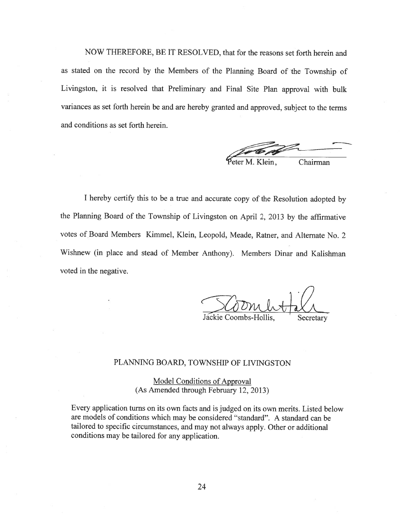NOW THEREFORE, BE IT RESOLVED, that for the reasons set forth herein and as stated on the record by the Members of the Planning Board of the Township of Livingston, it is resolved that Preliminary and Final Site Plan approval with bulk variances as set forth herein be and are hereby granted and approved, subject to the terms and conditions as set forth herein.

eter M. Klein, Chairman

<sup>I</sup> hereby certify this to be <sup>a</sup> true and accurate copy of the Resolution adopted by the Planning Board of the Township of Livingston on April 2, <sup>2013</sup> by the affirmative votes of Board Members Kimmel. Klein, Leopold, Meade, Ratner, and Alternate No. <sup>2</sup> Wishnew (in <sup>p</sup>lace and stead of Member Anthony). Members Dinar and Kalishman voted in the negative.

Jackie Coombs-Hollis, Secretary

#### PLANNING BOARD, TOWNSHIP OF LIVINGSTON

Model Conditions of Approval (As Amended through February 12, 2013)

Every application turns on its own facts and is judged on its own merits. Listed below are models of conditions which may be considered "standard". <sup>A</sup> standard can be tailored to specific circumstances, and may not always apply. Other or additional conditions may be tailored for any application.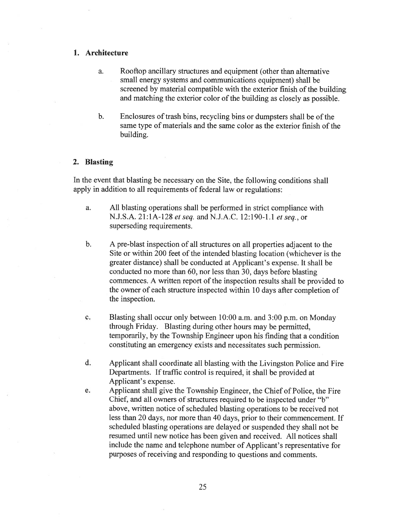## 1. Architecture

- a. Rooftop ancillary structures and equipment (other than alternative small energy systems and communications equipment) shall be screened by material compatible with the exterior finish of the building and matching the exterior color of the building as closely as possible.
- b. Enclosures of trash bins, recycling bins or dumpsters shall be of the same type of materials and the same color as the exterior finish of the building.

#### 2. Blasting

In the event that blasting be necessary on the Site, the following conditions shall apply in addition to all requirements of federal law or regulations:

- a. All blasting operations shall be performed in strict compliance with N.J.S.A. 21:1A-128 et seq. and N.J.A.C. 12:190-1.1 et seq., or superseding requirements.
- b. A pre-blast inspection of all structures on all properties adjacent to the Site or within 200 feet of the intended blasting location (whichever is the greater distance) shall be conducted at Applicant's expense. It shall be conducted no more than 60, nor less than 30, days before blasting commences. A written repor<sup>t</sup> of the inspection results shall be provided to the owner of each structure inspected within 10 days after completion of the inspection.
- c. Blasting shall occur only between 10:00 a.m. and 3:00 p.m. on Monday through Friday. Blasting during other hours may be permitted, temporarily, by the Township Engineer upon his finding that <sup>a</sup> condition constituting an emergency exists and necessitates such permission.
- d. Applicant shall coordinate all blasting with the Livingston Police and Fire Departments. If traffic control is required. it shall be provided at Applicant's expense.
- e. Applicant shall give the Township Engineer, the Chief of Police, the Fire Chief, and all owners of structures required to be inspected under "b" above, written notice of scheduled blasting operations to be received not less than 20 days, nor more than 40 days, prior to their commencement. If scheduled blasting operations are delayed or suspended they shall not be resumed until new notice has been given and received. All notices shall include the name and telephone number of Applicant's representative for purposes of receiving and responding to questions and comments.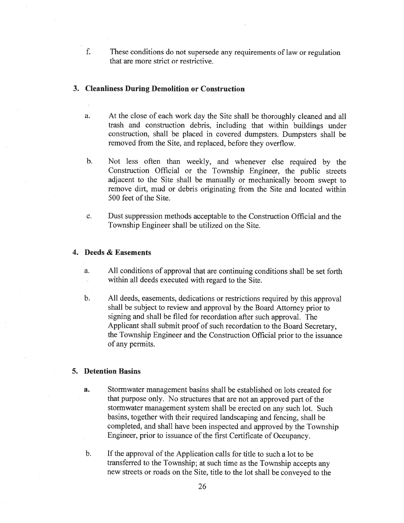f. These conditions do not supersede any requirements of law or regulation that are more strict or restrictive.

# 3. Cleanliness During Demolition or Construction

- a. At the close of each work day the Site shall be thoroughly cleaned and all trash and construction debris, including that within buildings under construction, shall be <sup>p</sup>laced in covered dumpsters. Dumpsters shall be removed from the Site, and replaced, before they overflow.
- b. Not less often than weekly, and whenever else required by the Construction Official or the Township Engineer, the public streets adjacent to the Site shall be manually or mechanically broom swep<sup>t</sup> to remove dirt, mud or debris originating from the Site and located within 500 feet of the Site.
- c. Dust suppression methods acceptable to the Construction Official and the Township Engineer shall be utilized on the Site.

## 4. Deeds & Easements

- a. All conditions of approval that are continuing conditions shall be set forth within all deeds executed with regard to the Site.
- b. All deeds, easements, dedications or restrictions required by this approva<sup>l</sup> shall be subject to review and approva<sup>l</sup> by the Board Attorney prior to signing and shall be filed for recordation after such approval. The Applicant shall submit proo<sup>f</sup> of such recordation to the Board Secretary, the Township Engineer and the Construction Official prior to the issuance of any permits.

## 5. Detention Basins

- a. Stormwater managemen<sup>t</sup> basins shall be established on lots created for that purpose only. No structures that are not an approve<sup>d</sup> par<sup>t</sup> of the stormwater managemen<sup>t</sup> system shall be erected on any such lot. Such basins, together with their required landscaping and fencing, shall be completed, and shall have been inspected and approve<sup>d</sup> by the Township Engineer, prior to issuance of the first Certificate of Occupancy.
- b. If the approval of the Application calls for title to such a lot to be transferred to the Township; at such time as the Township accepts any new streets or roads on the Site. title to the lot shall be conveyed to the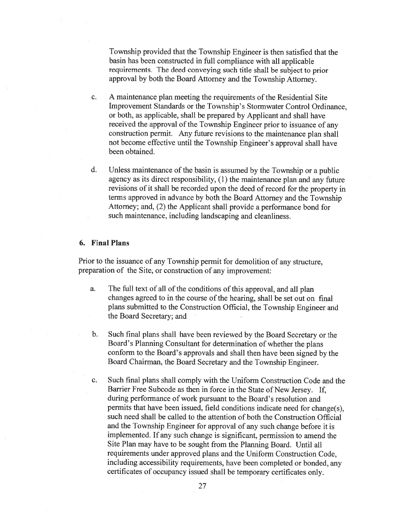Township provided that the Township Engineer is then satisfied that the basin has been constructed in full compliance with all applicable requirements. The deed conveying such title shall be subject to prior approval by both the Board Attorney and the Township Attorney.

- c. A maintenance plan meeting the requirements of the Residential Site Improvement Standards or the Township's Stormwater Control Ordinance, or both, as applicable, shall be prepared by Applicant and shall have received the approva<sup>l</sup> of the Township Engineer prior to issuance of any construction permit. Any future revisions to the maintenance <sup>p</sup>lan shall not become effective until the Township Engineer's approval shall have been obtained.
- d. Unless maintenance of the basin is assumed by the Township or a public agency as its direct responsibility, (1) the maintenance <sup>p</sup>lan and any future revisions of it shall be recorded upon the deed of record for the property in terms approved in advance by both the Board Attorney and the Township Attorney; and, (2) the Applicant shall provide <sup>a</sup> performance bond for such maintenance, including landscaping and cleanliness.

#### 6. Final Plans

Prior to the issuance of any Township permit for demolition of any structure, preparation of the Site, or construction of any improvement:

- a. The full text of all of the conditions of this approval, and all plan changes agreed to in the course of the hearing, shall be set out on final <sup>p</sup>lans submitted to the Construction Official, the Township Engineer and the Board Secretary; and
- b. Such final <sup>p</sup>lans shall have been reviewed by the Board Secretary or the Board's Planning Consultant for determination of whether the <sup>p</sup>lans conform to the Board's approvals and shall then have been signed by the Board Chairman, the Board Secretary and the Township Engineer.
- c. Such final plans shall comply with the Uniform Construction Code and the Barrier Free Subcode as then in force in the State of New Jersey. If, during performance of work pursuan<sup>t</sup> to the Board's resolution and permits that have been issued, field conditions indicate need for change(s), such need shall be called to the attention of both the Construction Official and the Township Engineer for approva<sup>l</sup> of any such change before it is implemented. If any such change is significant, permission to amend the Site Plan may have to be sought from the Planning Board. Until all requirements under approved <sup>p</sup>lans and the Uniform Construction Code, including accessibility requirements, have been completed or bonded, any certificates of occupancy issued shall be temporary certificates only.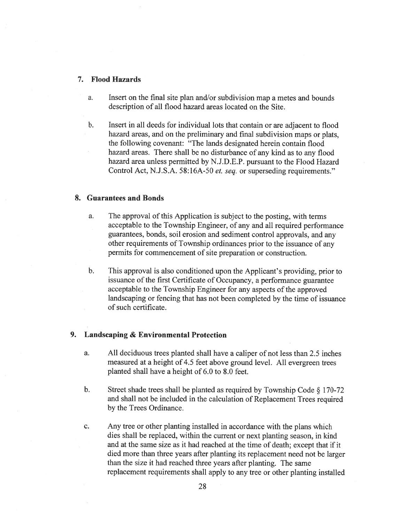#### 7. Flood Hazards

- a. Insert on the final site plan and/or subdivision map <sup>a</sup> metes and bounds description of all flood hazard areas located on the Site.
- b. Insert in all deeds for individual lots that contain or are adjacent to flood hazard areas, and on the preliminary and final subdivision maps or <sup>p</sup>lats. the following covenant: "The lands designated herein contain flood hazard areas. There shall be no disturbance of any kind as to any flood hazard area unless permitted by N.J.D.E.P. pursuan<sup>t</sup> to the Flood Hazard Control Act, N.J.S.A. 58:16A-50 et. seq. or superseding requirements."

## 8. Guarantees and Bonds

- a. The approval of this Application is subject to the posting, with terms acceptable to the Township Engineer, of any and all required performance guarantees, bonds, soil erosion and sediment control approvals, and any other requirements of Township ordinances prior to the issuance of any permits for commencement of site preparation or construction.
- b. This approval is also conditioned upon the Applicant's providing, prior to issuance of the first Certificate of Occupancy, <sup>a</sup> performance guarantee acceptable to the Township Engineer for any aspects of the approved landscaping or fencing that has not been completed by the time of issuance of such certificate.

### 9. Landscaping & Environmental Protection

- a. All deciduous trees planted shall have <sup>a</sup> caliper of not less than 2.5 inches measured at <sup>a</sup> height of 4.5 feet above ground level. All evergreen trees planted shall have <sup>a</sup> height of 6.0 to 8.0 feet.
- b. Street shade trees shall be <sup>p</sup>lanted as required by Township Code § 170-72 and shall not be included in the calculation of Replacement Trees required by the Trees Ordinance.
- c. Any tree or other <sup>p</sup>lanting installed in accordance with the <sup>p</sup>lans which dies shall be replaced, within the current or next planting season, in kind and at the same size as it had reached at the time of death; excep<sup>t</sup> that if it died more than three years after <sup>p</sup>lanting its replacement need not be larger than the size it had reached three years after planting. The same replacement requirements shall apply to any tree or other <sup>p</sup>lanting installed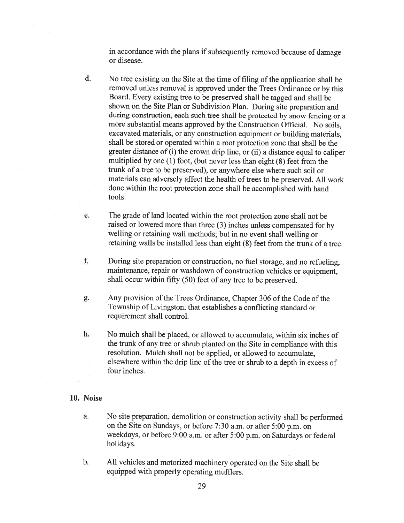in accordance with the plans if subsequently removed because of damage or disease.

- d. No tree existing on the Site at the time of filing of the application shall be removed unless removal is approve<sup>d</sup> under the Trees Ordinance or by this Board. Every existing tree to be preserve<sup>d</sup> shall be tagged and shall be shown on the Site Plan or Subdivision Plan. During site preparation and during construction, each such tree shall be protected by snow fencing or <sup>a</sup> more substantial means approved by the Construction Official. No soils, excavated materials, or any construction equipment or building materials, shall be stored or operated within <sup>a</sup> root protection zone that shall be the greater distance of (i) the crown drip line, or (ii) <sup>a</sup> distance equa<sup>l</sup> to caliper multiplied by one (1) foot, (but never less than eight (8) feet from the trunk of <sup>a</sup> tree to be preserved), or anywhere else where such soil or materials can adversely affect the health of trees to be preserved. All work done within the root protection zone shall be accomplished with hand tools.
- e. The grade of land located within the root protection zone shall not be raised or lowered more than three (3) inches unless compensated for by welling or retaining wall methods; but in no event shall welling or retaining walls be installed less than eight (8) feet from the trunk of <sup>a</sup> tree.
- f. During site preparation or construction, no fuel storage, and no refueling, maintenance, repair or washdown of construction vehicles or equipment, shall occur within fifty (50) feet of any tree to be preserved.
- g. Any provision of the Trees Ordinance, Chapter 306 of the Code of the Township of Livingston, that establishes <sup>a</sup> conflicting standard or requirement shall control.
- h. No mulch shall be placed, or allowed to accumulate, within six inches of the trunk of any tree or shrub <sup>p</sup>lanted on the Site in compliance with this resolution. Mulch shall not be applied, or allowed to accumulate, elsewhere within the drip line of the tree or shrub to <sup>a</sup> depth in excess of four inches.

## 10. Noise

- a. No site preparation, demolition or construction activity shall be performed on the Site on Sundays, or before 7:30 a.m. or after 5:00 p.m. on weekdays, or before 9:00 a.m. or after 5:00 p.m. on Saturdays or federal holidays.
- b. All vehicles and motorized machinery operated on the Site shall be equipped with properly operating mufflers.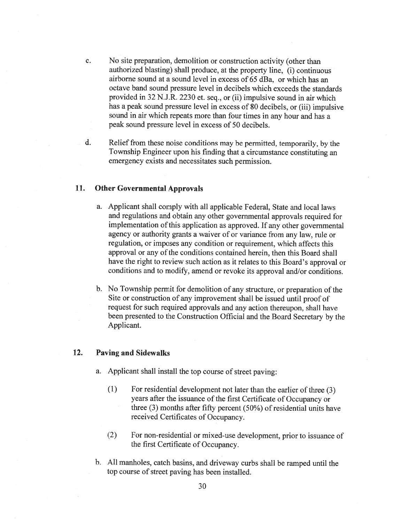- c. No site preparation, demolition or construction activity (other than authorized blasting) shall produce, at the property line, (i) continuous airborne sound at <sup>a</sup> sound level in excess of 65 dBa, or which has an octave band sound pressure level in decibels which exceeds the standards provided in 32 N.J.R. 2230 et. seq., or (ii) impulsive sound in air which has <sup>a</sup> peak sound pressure level in excess of <sup>80</sup> decibels, or (iii) impulsive sound in air which repeats more than four times in any hour and has <sup>a</sup> peak sound pressure level in excess of 50 decibels.
- d. Relief from these noise conditions may be permitted, temporarily, by the Township Engineer upon his finding that <sup>a</sup> circumstance constituting an emergency exists and necessitates such permission.

## 11. Other Governmental Approvals

- a. Applicant shall comply with all applicable Federal, State and local laws and regulations and obtain any other governmental approvals required for implementation of this application as approved. If any other governmental agency or authority grants <sup>a</sup> waiver of or variance from any law, rule or regulation, or imposes any condition or requirement, which affects this approval or any of the conditions contained herein, then this Board shall have the right to review such action as it relates to this Board's approval or conditions and to modify, amend or revoke its approval and/or conditions.
- b. No Township permit for demolition of any structure, or preparation of the Site or construction of any improvement shall be issued until proof of request for such required approvals and any action thereupon, shall have been presented to the Construction Official and the Board Secretary by the Applicant.

## 12. Paving and Sidewalks

- a. Applicant shall install the top course of street paving:
	- $(1)$  For residential development not later than the earlier of three  $(3)$ years after the issuance of the first Certificate of Occupancy or three (3) months after fifty percent (50%) of residential units have received Certificates of Occupancy.
	- (2) For non-residential or mixed-use development, prior to issuance of the first Certificate of Occupancy.
- b. All manholes, catch basins, and driveway curbs shall be ramped until the top course of street paving has been installed.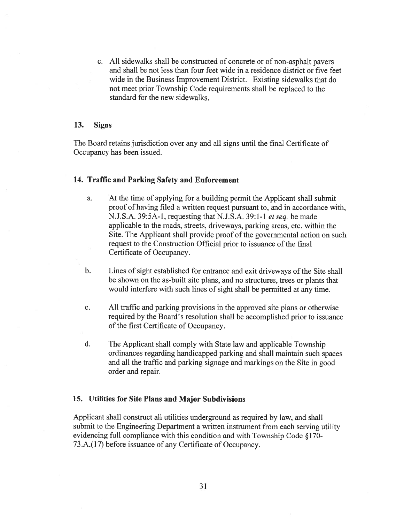c. All sidewalks shall be constructed of concrete or of non-asphalt payers and shall be not less than four feet wide in <sup>a</sup> residence district or five feet wide in the Business Improvement District. Existing sidewalks that do not meet prior Township Code requirements shall be replaced to the standard for the new sidewalks.

## 13. Signs

The Board retains jurisdiction over any and all signs until the final Certificate of Occupancy has been issued.

#### 14. Traffic and Parking Safety and Enforcement

- a. At the time of applying for <sup>a</sup> building permit the Applicant shall submit proof of having filed <sup>a</sup> written reques<sup>t</sup> pursuan<sup>t</sup> to, and in accordance with, N.J.S.A. 39:5A-l, requesting that N.J.S.A. 39:1-1 et seq. be made applicable to the roads, streets, driveways, parking areas, etc. within the Site. The Applicant shall provide proof of the governmental action on such reques<sup>t</sup> to the Construction Official prior to issuance of the final Certificate of Occupancy.
- b. Lines of sight established for entrance and exit driveways of the Site shall be shown on the as-built site plans, and no structures. trees or plants that would interfere with such lines of sight shall be permitted at any time.
- c. All traffic and parking provisions in the approved site plans or otherwise required by the Board's resolution shall be accomplished prior to issuance of the first Certificate of Occupancy.
- d. The Applicant shall comply with State law and applicable Township ordinances regarding handicapped parking and shall maintain such spaces and all the traffic and parking signage and markings on the Site in good order and repair.

### 15. Utilities for Site Plans and Major Subdivisions

Applicant shall construct all utilities underground as required by law, and shall submit to the Engineering Department <sup>a</sup> written instrument from each serving utility evidencing full compliance with this condition and with Township Code §170- 73.A.(17) before issuance of any Certificate of Occupancy.